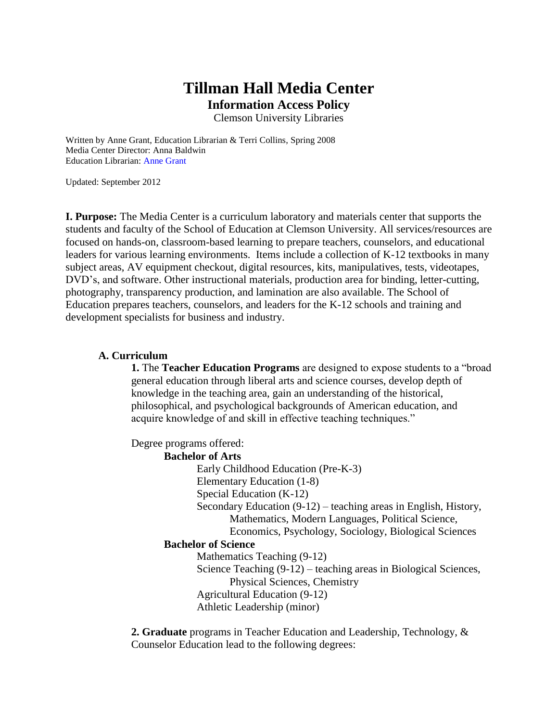# **Tillman Hall Media Center Information Access Policy**

Clemson University Libraries

Written by Anne Grant, Education Librarian & Terri Collins, Spring 2008 Media Center Director: Anna Baldwin Education Librarian: Anne Grant

Updated: September 2012

**I. Purpose:** The Media Center is a curriculum laboratory and materials center that supports the students and faculty of the School of Education at Clemson University. All services/resources are focused on hands-on, classroom-based learning to prepare teachers, counselors, and educational leaders for various learning environments. Items include a collection of K-12 textbooks in many subject areas, AV equipment checkout, digital resources, kits, manipulatives, tests, videotapes, DVD's, and software. Other instructional materials, production area for binding, letter-cutting, photography, transparency production, and lamination are also available. The School of Education prepares teachers, counselors, and leaders for the K-12 schools and training and development specialists for business and industry.

#### **A. Curriculum**

**1.** The **Teacher Education Programs** are designed to expose students to a "broad general education through liberal arts and science courses, develop depth of knowledge in the teaching area, gain an understanding of the historical, philosophical, and psychological backgrounds of American education, and acquire knowledge of and skill in effective teaching techniques."

Degree programs offered:

**Bachelor of Arts** Early Childhood Education (Pre-K-3) Elementary Education (1-8) Special Education (K-12) Secondary Education (9-12) – teaching areas in English, History, Mathematics, Modern Languages, Political Science, Economics, Psychology, Sociology, Biological Sciences **Bachelor of Science** Mathematics Teaching (9-12) Science Teaching (9-12) – teaching areas in Biological Sciences, Physical Sciences, Chemistry Agricultural Education (9-12) Athletic Leadership (minor)

**2. Graduate** programs in Teacher Education and Leadership, Technology, & Counselor Education lead to the following degrees: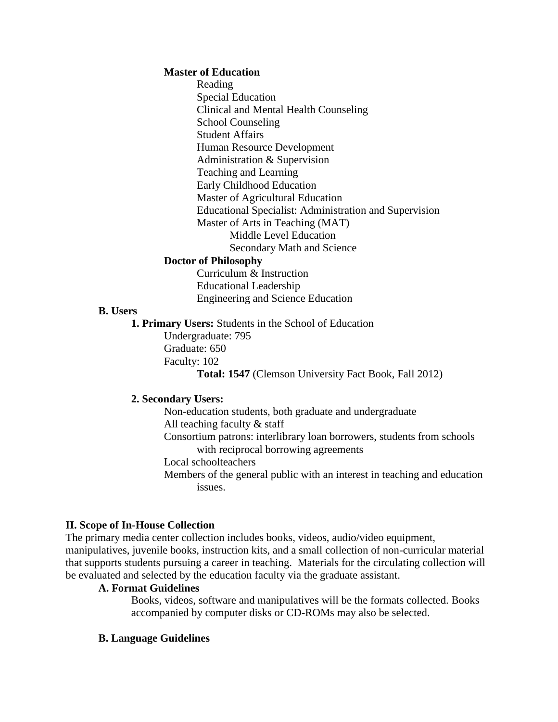#### **Master of Education**

Reading Special Education Clinical and Mental Health Counseling School Counseling Student Affairs Human Resource Development Administration & Supervision Teaching and Learning Early Childhood Education Master of Agricultural Education Educational Specialist: Administration and Supervision Master of Arts in Teaching (MAT) Middle Level Education Secondary Math and Science

#### **Doctor of Philosophy**

Curriculum & Instruction Educational Leadership Engineering and Science Education

### **B. Users**

**1. Primary Users:** Students in the School of Education Undergraduate: 795 Graduate: 650 Faculty: 102 **Total: 1547** (Clemson University Fact Book, Fall 2012)

#### **2. Secondary Users:**

Non-education students, both graduate and undergraduate All teaching faculty & staff Consortium patrons: interlibrary loan borrowers, students from schools with reciprocal borrowing agreements Local schoolteachers Members of the general public with an interest in teaching and education issues.

#### **II. Scope of In-House Collection**

The primary media center collection includes books, videos, audio/video equipment, manipulatives, juvenile books, instruction kits, and a small collection of non-curricular material that supports students pursuing a career in teaching. Materials for the circulating collection will be evaluated and selected by the education faculty via the graduate assistant.

#### **A. Format Guidelines**

Books, videos, software and manipulatives will be the formats collected. Books accompanied by computer disks or CD-ROMs may also be selected.

#### **B. Language Guidelines**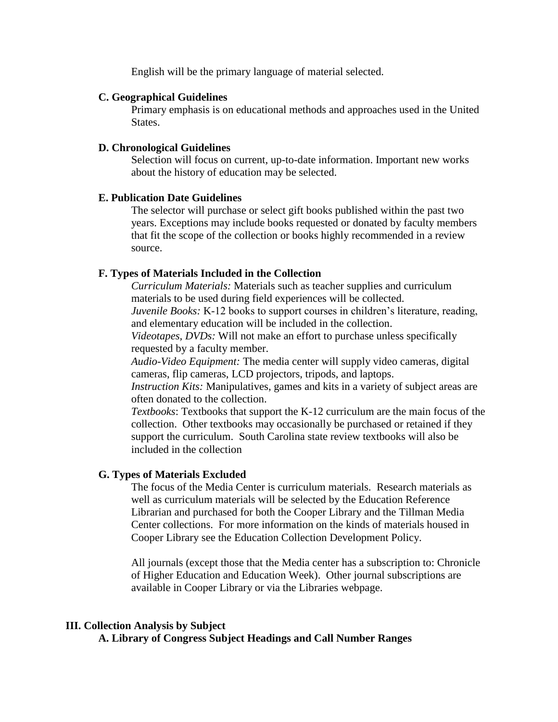English will be the primary language of material selected.

## **C. Geographical Guidelines**

Primary emphasis is on educational methods and approaches used in the United States.

## **D. Chronological Guidelines**

Selection will focus on current, up-to-date information. Important new works about the history of education may be selected.

### **E. Publication Date Guidelines**

The selector will purchase or select gift books published within the past two years. Exceptions may include books requested or donated by faculty members that fit the scope of the collection or books highly recommended in a review source.

## **F. Types of Materials Included in the Collection**

*Curriculum Materials:* Materials such as teacher supplies and curriculum materials to be used during field experiences will be collected.

*Juvenile Books:* K-12 books to support courses in children's literature, reading, and elementary education will be included in the collection.

*Videotapes, DVDs:* Will not make an effort to purchase unless specifically requested by a faculty member.

*Audio-Video Equipment:* The media center will supply video cameras, digital cameras, flip cameras, LCD projectors, tripods, and laptops.

*Instruction Kits:* Manipulatives, games and kits in a variety of subject areas are often donated to the collection.

*Textbooks*: Textbooks that support the K-12 curriculum are the main focus of the collection. Other textbooks may occasionally be purchased or retained if they support the curriculum. South Carolina state review textbooks will also be included in the collection

## **G. Types of Materials Excluded**

The focus of the Media Center is curriculum materials. Research materials as well as curriculum materials will be selected by the Education Reference Librarian and purchased for both the Cooper Library and the Tillman Media Center collections. For more information on the kinds of materials housed in Cooper Library see the Education Collection Development Policy.

All journals (except those that the Media center has a subscription to: Chronicle of Higher Education and Education Week). Other journal subscriptions are available in Cooper Library or via the Libraries webpage.

#### **III. Collection Analysis by Subject**

**A. Library of Congress Subject Headings and Call Number Ranges**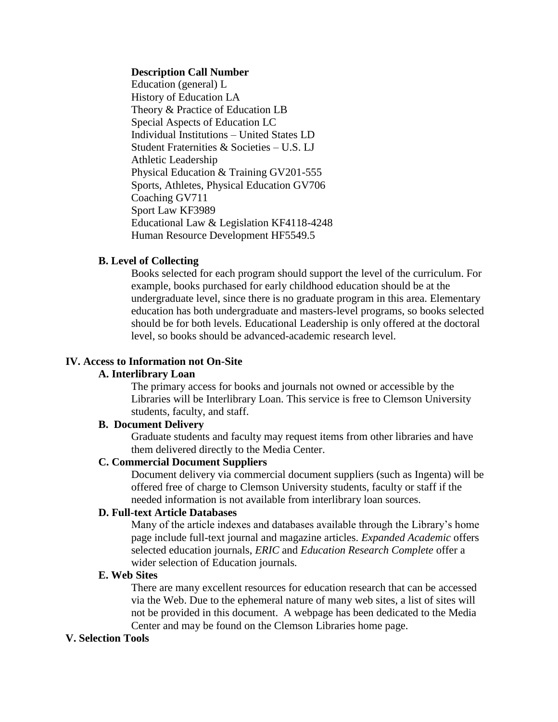#### **Description Call Number**

Education (general) L History of Education LA Theory & Practice of Education LB Special Aspects of Education LC Individual Institutions – United States LD Student Fraternities & Societies – U.S. LJ Athletic Leadership Physical Education & Training GV201-555 Sports, Athletes, Physical Education GV706 Coaching GV711 Sport Law KF3989 Educational Law & Legislation KF4118-4248 Human Resource Development HF5549.5

### **B. Level of Collecting**

Books selected for each program should support the level of the curriculum. For example, books purchased for early childhood education should be at the undergraduate level, since there is no graduate program in this area. Elementary education has both undergraduate and masters-level programs, so books selected should be for both levels. Educational Leadership is only offered at the doctoral level, so books should be advanced-academic research level.

## **IV. Access to Information not On-Site**

## **A. Interlibrary Loan**

The primary access for books and journals not owned or accessible by the Libraries will be Interlibrary Loan. This service is free to Clemson University students, faculty, and staff.

### **B. Document Delivery**

Graduate students and faculty may request items from other libraries and have them delivered directly to the Media Center.

# **C. Commercial Document Suppliers**

Document delivery via commercial document suppliers (such as Ingenta) will be offered free of charge to Clemson University students, faculty or staff if the needed information is not available from interlibrary loan sources.

## **D. Full-text Article Databases**

Many of the article indexes and databases available through the Library's home page include full-text journal and magazine articles. *Expanded Academic* offers selected education journals, *ERIC* and *Education Research Complete* offer a wider selection of Education journals*.*

#### **E. Web Sites**

There are many excellent resources for education research that can be accessed via the Web. Due to the ephemeral nature of many web sites, a list of sites will not be provided in this document. A webpage has been dedicated to the Media Center and may be found on the Clemson Libraries home page.

### **V. Selection Tools**